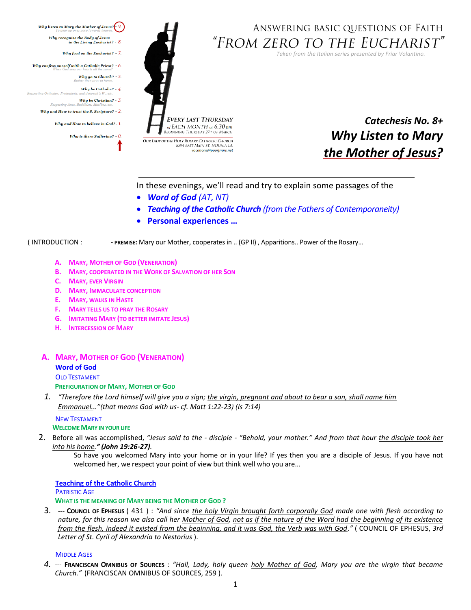<span id="page-0-0"></span>

# ANSWERING BASIC QUESTIONS OF FAITH "FROM ZERO TO THE EUCHARIST"

*Taken from the Italian series presented by Friar Volantino.* 



vocations@poorfriars.net

*Catechesis No. 8+ Why Listen to Mary the Mother of Jesus?*

In these evenings, we'll read and try to explain some passages of the

- *Word of God (AT, NT)*
- *Teaching of the Catholic Church (from the Fathers of Contemporaneity)*
- **Personal experiences …**

( INTRODUCTION : - **PREMISE:** Mary our Mother, cooperates in .. (GP II) , Apparitions.. Power of the Rosary…

- **A. MARY, MOTHER OF GOD (VENERATION)**
- **B. MARY, COOPERATED IN THE WORK OF SALVATION OF HER SON**
- **C. MARY, EVER VIRGIN**
- **D. MARY, IMMACULATE CONCEPTION**
- **E. MARY, WALKS IN HASTE**
- **F. MARY TELLS US TO PRAY THE ROSARY**
- **G. IMITATING MARY (TO BETTER IMITATE JESUS)**
- **H. INTERCESSION OF MARY**

# **A. MARY, MOTHER OF GOD (VENERATION) Word of God** OLD TESTAMENT **PREFIGURATION OF MARY, MOTHER OF GOD**

*1. "Therefore the Lord himself will give you a sign; the virgin, pregnant and about to bear a son, shall name him Emmanuel..."(that means God with us- cf. Matt 1:22-23) (Is 7:14)*

# NEW TESTAMENT **WELCOME MARY IN YOUR LIFE**

2. Before all was accomplished, *"Jesus said to the - disciple - "Behold, your mother." And from that hour the disciple took her into his home." (John 19:26-27).*

So have you welcomed Mary into your home or in your life? If yes then you are a disciple of Jesus. If you have not welcomed her, we respect your point of view but think well who you are...

#### **[Teaching of the Catholic](#page-0-0) Church PATRISTIC AGE WHAT IS THE MEANING OF MARY BEING THE MOTHER OF GOD ?**

3. --- **COUNCIL OF EPHESUS** ( 431 ) : *"And since the holy Virgin brought forth corporally God made one with flesh according to nature, for this reason we also call her Mother of God, not as if the nature of the Word had the beginning of its existence from the flesh, indeed it existed from the beginning, and it was God, the Verb was with God."* ( COUNCIL OF EPHESUS, *3rd Letter of St. Cyril of Alexandria to Nestorius* ).

#### **MIDDLE AGES**

*4.* --- **FRANCISCAN OMNIBUS OF SOURCES** : *"Hail, Lady, holy queen holy Mother of God, Mary you are the virgin that became Church."* (FRANCISCAN OMNIBUS OF SOURCES, 259 ).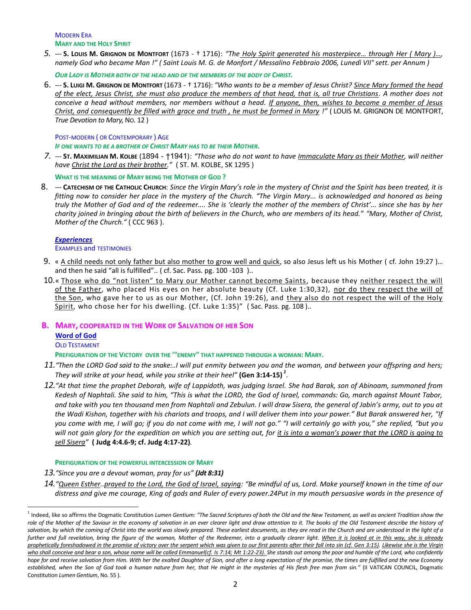#### MODERN ERA **MARY AND THE HOLY SPIRIT**

5. --- S. Louis M. Grignon DE MONTFORT (1673 - † 1716): "The Holy Spirit generated his masterpiece... through Her (Mary )..., *namely God who became Man !" ( Saint Louis M. G. de Monfort / Messalino Febbraio 2006, Lunedì VII° sett. per Annum )*

*OUR LADY IS MOTHER BOTH OF THE HEAD AND OF THE MEMBERS OF THE BODY OF CHRIST.*

6. --- **S. LUIGI M. GRIGNON DE MONTFORT** (1673 - † 1716): *"Who wants to be a member of Jesus Christ? Since Mary formed the head of the elect, Jesus Christ, she must also produce the members of that head, that is, all true Christians. A mother does not conceive a head without members, nor members without a head. If anyone, then, wishes to become a member of Jesus Christ, and consequently be filled with grace and truth , he must be formed in Mary !"* ( LOUIS M. GRIGNON DE MONTFORT, *True Devotion to Mary, No. 12 )* 

### POST-MODERN ( OR CONTEMPORARY ) AGE

#### *IF ONE WANTS TO BE A BROTHER OF CHRIST MARY HAS TO BE THEIR MOTHER.*

*7.* --- **ST. MAXIMILIAN M. KOLBE** (1894 - †1941): *"Those who do not want to have Immaculate Mary as their Mother, will neither have Christ the Lord as their brother."* ( ST. M. KOLBE, SK 1295 )

**WHAT IS THE MEANING OF MARY BEING THE MOTHER OF GOD ?**

8. --- **CATECHISM OF THE CATHOLIC CHURCH**: *Since the Virgin Mary's role in the mystery of Christ and the Spirit has been treated, it is fitting now to consider her place in the mystery of the Church. "The Virgin Mary... is acknowledged and honored as being truly the Mother of God and of the redeemer.... She is 'clearly the mother of the members of Christ'... since she has by her charity joined in bringing about the birth of believers in the Church, who are members of its head." "Mary, Mother of Christ, Mother of the Church."* ( CCC 963 ).

# *[Experiences](#page-0-0)*

 $\overline{a}$ 

### EXAMPLES and TESTIMONIES

- 9. « A child needs not only father but also mother to grow well and quick, so also Jesus left us his Mother (cf. John 19:27 )... and then he said "all is fulfilled".. ( cf. Sac. Pass. pg. 100 -103 )..
- 10.« Those who do "not listen" to Mary our Mother cannot become Saints, because they neither respect the will of the Father, who placed His eyes on her absolute beauty (Cf. Luke 1:30,32), nor do they respect the will of the Son, who gave her to us as our Mother, (Cf. John 19:26), and they also do not respect the will of the Holy Spirit, who chose her for his dwelling. (Cf. Luke 1:35)" (Sac. Pass. pg. 108)..

# **B. MARY, COOPERATED IN THE WORK OF SALVATION OF HER SON Word of God** OLD TESTAMENT

- **PREFIGURATION OF THE VICTORY OVER THE '"ENEMY" THAT HAPPENED THROUGH A WOMAN: MARY.**
- *11."Then the LORD God said to the snake:..I will put enmity between you and the woman, and between your offspring and hers; They will strike at your head, while you strike at their heel"* **(Gen 3:14-15)** *<sup>1</sup>* .
- *12."At that time the prophet Deborah, wife of Lappidoth, was judging Israel. She had Barak, son of Abinoam, summoned from Kedesh of Naphtali. She said to him, "This is what the LORD, the God of Israel, commands: Go, march against Mount Tabor, and take with you ten thousand men from Naphtali and Zebulun. I will draw Sisera, the general of Jabin's army, out to you at the Wadi Kishon, together with his chariots and troops, and I will deliver them into your power." But Barak answered her, "If you come with me, I will go; if you do not come with me, I will not go." "I will certainly go with you," she replied, "but you*  will not gain glory for the expedition on which you are setting out, for it is into a woman's power that the LORD is going to *sell Sisera"* **( Judg 4:4.6-9; cf. Judg 4:17-22)***.*

# **PREFIGURATION OF THE POWERFUL INTERCESSION OF MARY**

- *13."Since you are a devout woman, pray for us" (Jdt 8:31)*
- *14."Queen Esther..prayed to the Lord, the God of Israel, saying: "Be mindful of us, Lord. Make yourself known in the time of our distress and give me courage, King of gods and Ruler of every power.24Put in my mouth persuasive words in the presence of*

<sup>1</sup> Indeed, like so affirms the Dogmatic Constitution *Lumen Gentium: "The Sacred Scriptures of both the Old and the New Testament, as well as ancient Tradition show the role of the Mother of the Saviour in the economy of salvation in an ever clearer light and draw attention to it. The books of the Old Testament describe the history of*  salvation, by which the coming of Christ into the world was slowly prepared. These earliest documents, as they are read in the Church and are understood in the light of a further and full revelation, bring the figure of the woman, Mother of the Redeemer, into a gradually clearer light. When it is looked at in this way, she is already *prophetically foreshadowed in the promise of victory over the serpent which was given to our first parents after their fall into sin (cf. Gen 3:15). Likewise she is the Virgin who shall conceive and bear a son, whose name will be called Emmanuel(cf. Is 7:14; Mt 1:22-23). She stands out among the poor and humble of the Lord, who confidently hope for and receive salvation from Him. With her the exalted Daughter of Sion, and after a long expectation of the promise, the times are fulfilled and the new Economy established, when the Son of God took a human nature from her, that He might in the mysteries of His flesh free man from sin."* (II VATICAN COUNCIL, Dogmatic Constitution *Lumen Gentium*, No. 55 ).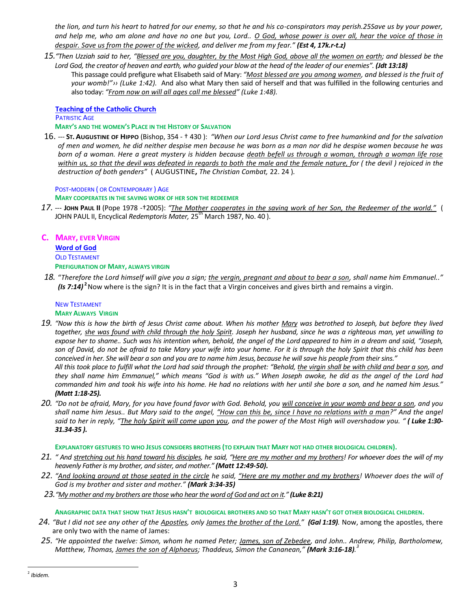*the lion, and turn his heart to hatred for our enemy, so that he and his co-conspirators may perish.25Save us by your power, and help me, who am alone and have no one but you, Lord.. O God, whose power is over all, hear the voice of those in despair. Save us from the power of the wicked, and deliver me from my fear." (Est 4, 17k.r-t.z)*

- *15."Then Uzziah said to her, "Blessed are you, daughter, by the Most High God, above all the women on earth; and blessed be the Lord God, the creator of heaven and earth, who guided your blow at the head of the leader of our enemies". (Jdt 13:18)*
	- This passage could prefigure what Elisabeth said of Mary: *"Most blessed are you among women, and blessed is the fruit of your womb!"›› [\(Luke](http://www.lachiesa.it/bibbia.php?ricerca=citazione&id_versioni=1&Citazione=Lc+1&VersettoOn=1) 1:42).* And also what Mary then said of herself and that was fulfilled in the following centuries and also today: *"From now on will all ages call me blessed" [\(Luke](http://www.lachiesa.it/bibbia.php?ricerca=citazione&id_versioni=1&Citazione=Lc+1&VersettoOn=1) 1:48).*

#### **[Teaching of the Catholic](#page-0-0) Church PATRISTIC AGE**

### **MARY'S AND THE WOMEN'S PLACE IN THE HISTORY OF SALVATION**

16. --- **ST. AUGUSTINE OF HIPPO** (Bishop, 354 - † 430 ): *"When our Lord Jesus Christ came to free humankind and for the salvation of men and women, he did neither despise men because he was born as a man nor did he despise women because he was born of a woman. Here a great mystery is hidden because death befell us through a woman, through a woman life rose within us, so that the devil was defeated in regards to both the male and the female nature, for ( the devil ) rejoiced in the destruction of both genders"* ( AUGUSTINE**,** *The Christian Combat,* 22. 24 )*.*

### POST-MODERN ( OR CONTEMPORARY ) AGE

**MARY COOPERATES IN THE SAVING WORK OF HER SON THE REDEEMER**

*17.* --- **JOHN PAUL II** (Pope 1978 -†2005): *"The Mother cooperates in the saving work of her Son, the Redeemer of the world."* ( JOHN PAUL II, Encyclical *Redemptoris Mater*, 25<sup>th</sup> March 1987, No. 40).

# **C. MARY, EVER VIRGIN**

**Word of God** OLD TESTAMENT **PREFIGURATION OF MARY, ALWAYS VIRGIN**

*18.* "*Therefore the Lord himself will give you a sign; the vergin, pregnant and about to bear a son, shall name him Emmanuel.." (Is 7:14)* **<sup>2</sup>** Now where is the sign? It is in the fact that a Virgin conceives and gives birth and remains a virgin.

### NEW TESTAMENT **MARY ALWAYS VIRGIN**

- *19. "Now this is how the birth of Jesus Christ came about. When his mother Mary was betrothed to Joseph, but before they lived together, she was found with child through the holy Spirit. Joseph her husband, since he was a righteous man, yet unwilling to expose her to shame.. Such was his intention when, behold, the angel of the Lord appeared to him in a dream and said, "Joseph, son of David, do not be afraid to take Mary your wife into your home. For it is through the holy Spirit that this child has been conceived in her. She will bear a son and you are to name him Jesus,because he will save his people from their sins." All this took place to fulfill what the Lord had said through the prophet: "Behold, the virgin shall be with child and bear a son, and they shall name him Emmanuel," which means "God is with us." When Joseph awoke, he did as the angel of the Lord had commanded him and took his wife into his home. He had no relations with her until she bore a son, and he named him Jesus." [\(Matt 1:18-25\)](http://www.lachiesa.it/bibbia.php?ricerca=citazione&id_versioni=1&Citazione=Lc+1&VersettoOn=1).*
- *20. "Do not be afraid, Mary, for you have found favor with God. Behold, you will conceive in your womb and bear a son, and you shall name him Jesus.. But Mary said to the angel, "How can this be, since I have no relations with a man?" And the angel said to her in reply, "The holy Spirit will come upon you, and the power of the Most High will overshadow you. " [\( Luke 1:30-](http://www.lachiesa.it/bibbia.php?ricerca=citazione&id_versioni=1&Citazione=Lc+1&VersettoOn=1) [31.34-35](http://www.lachiesa.it/bibbia.php?ricerca=citazione&id_versioni=1&Citazione=Lc+1&VersettoOn=1) ).*

# **EXPLANATORY GESTURES TO WHO JESUS CONSIDERS BROTHERS (TO EXPLAIN THAT MARY NOT HAD OTHER BIOLOGICAL CHILDREN).**

- *21. " And stretching out his hand toward his disciples, he said, "Here are my mother and my brothers! For whoever does the will of my heavenly Father is my brother, and sister, and mother." [\(Matt 12:49-50\)](http://www.lachiesa.it/bibbia.php?ricerca=citazione&id_versioni=3&Citazione=Mt+12&VersettoOn=1).*
- *22. "And looking around at those seated in the circle he said, "Here are my mother and my brothers! Whoever does the will of God is my brother and sister and mother." [\(Mark 3:34-35\)](http://www.lachiesa.it/bibbia.php?ricerca=citazione&id_versioni=3&Citazione=Mc+3&VersettoOn=1)*
- *23."My mother and my brothers are those who hear the word of God and act on it." (Luke 8:21)*

# **ANAGRAPHIC DATA THAT SHOW THAT JESUS HASN'T BIOLOGICAL BROTHERS AND SO THAT MARY HASN'T GOT OTHER BIOLOGICAL CHILDREN.**

- *24. "But I did not see any other of the Apostles, only James the brother of the Lord." (Gal 1:19).* Now, among the apostles, there are only two with the name of James:
- *25. "He appointed the twelve: Simon, whom he named Peter; James, son of Zebedee, and John.. Andrew, Philip, Bartholomew, Matthew, Thomas, James the son of Alphaeus; Thaddeus, Simon the Cananean," (Mark 3:16-18). 3*

 2 *Ibidem.*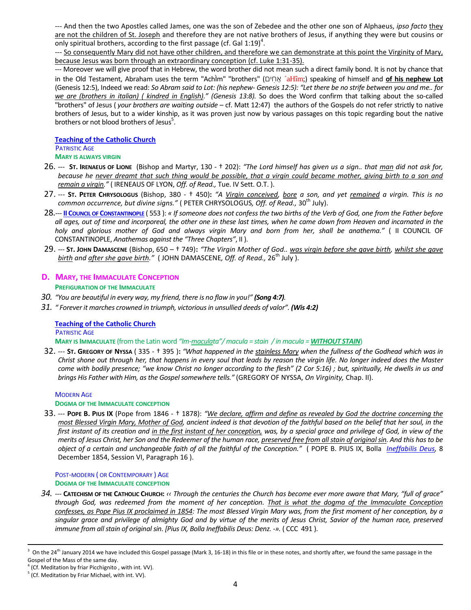--- And then the two Apostles called James, one was the son of Zebedee and the other one son of Alphaeus, *ipso facto* they are not the children of St. Joseph and therefore they are not native brothers of Jesus, if anything they were but cousins or only spiritual brothers, according to the first passage (cf. Gal 1:19)<sup>4</sup>.

--- So consequently Mary did not have other children, and therefore we can demonstrate at this point the Virginity of Mary, because Jesus was born through an extraordinary conception (cf. Luke 1:31-35).

--- Moreover we will give proof that in Hebrew, the word brother did not mean such a direct family bond. It is not by chance that in the Old Testament, Abraham uses the term "AchÌm" "brothers" (יְהוֹים <sup>2</sup>aHîm;) speaking of himself and **of his nephew Lot** (Genesis 12:5), Indeed we read: *So Abram said to Lot: (his nephew- Genesis 12:5): "Let there be no strife between you and me.. for we are (brothers in italian) ( kindred in English)." (Genesis 13:8).* So does the Word confirm that talking about the so-called "brothers" of Jesus ( *your brothers are waiting outside* – cf. Matt 12:47) the authors of the Gospels do not refer strictly to native brothers of Jesus, but to a wider kinship, as it was proven just now by various passages on this topic regarding bout the native brothers or not blood brothers of Jesus<sup>5</sup>.

**[Teaching of the Catholic](#page-0-0) Church PATRISTIC AGE MARY IS ALWAYS VIRGIN**

- 26. --- **ST. IRENAEUS OF LIONE** (Bishop and Martyr, 130 † 202): *"The Lord himself has given us a sign.. that man did not ask for, because he never dreamt that such thing would be possible, that a virgin could became mother, giving birth to a son and remain a virgin."* ( IRENEAUS OF LYON, *Off. of Read.,* Tue. IV Sett. O.T. ).
- 27. --- **ST. PETER CHRYSOLOGUS** (Bishop, 380 † 450)**:** *"A Virgin conceived, bore a son, and yet remained a virgin. This is no common occurrence, but divine signs."* ( PETER CHRYSOLOGUS, *Off. of Read.*, 30<sup>th</sup> July).
- 28.--- **II COUNCIL OF C[ONSTANTINOPLE](file:///C:/Users/2.%20%20Missione%20Noto%202013-2014/1.%20%20In%20it/Catechesi%20Sabato%20sera/Catechesi%20x%20bimbi%20nello%20Spirito/AppData/Local/Packages/microsoft.windowscommunicationsapps_8wekyb3d8bbwe/LocalState/LiveComm/622baa7abfdaa974/120712-0049/Att/C%20-%20Concili/6%20%20II°%20Concilio%20di%20Costantinopoli%20553/II°%20Concilio%20di%20Costantinopoli%20553.doc)** ( 553 ): *« If someone does not confess the two births of the Verb of God, one from the Father before all ages, out of time and incorporeal, the other one in these last times, when he came down from Heaven and incarnated in the holy and glorious mother of God and always virgin Mary and born from her, shall be anathema."* ( II COUNCIL OF CONSTANTINOPLE, *Anathemas against the "Three Chapters"*, II ).
- 29. --- **ST. JOHN DAMASCENE** (Bishop, 650 † 749)**:** *"The Virgin Mother of God.. was virgin before she gave birth, whilst she gave birth and after she gave birth.*" (JOHN DAMASCENE, Off. of Read., 26<sup>th</sup> July ).

# **D. MARY, THE IMMACULATE CONCEPTION**

### **PREFIGURATION OF THE IMMACULATE**

- *30. "You are beautiful in every way, my friend, there is no flaw in you!" [\(Song 4:7\)](http://www.lachiesa.it/bibbia.php?ricerca=citazione&id_versioni=1&Citazione=Ct+4&VersettoOn=1).*
- *31. " Forever it marches crowned in triumph, victorious in unsullied deeds of valor". (Wis 4:2)*

#### **[Teaching of the Catholic](#page-0-0) Church PATRISTIC AGE**

**MARY IS IMMACULATE** (from the Latin word *"Im-maculata"/ macula = stain / in macula = WITHOUT STAIN*)

32. --- **ST. GREGORY OF NYSSA** ( 335 - † 395 )**:** *"What happened in the stainless Mary when the fullness of the Godhead which was in Christ shone out through her, that happens in every soul that leads by reason the virgin life. No longer indeed does the Master come with bodily presence; "we know Christ no longer according to the flesh" (2 Cor 5:16) ; but, spiritually, He dwells in us and brings His Father with Him, as the Gospel somewhere tells."* (GREGORY OF NYSSA, *On Virginity,* Chap. II).

### MODERN AGE **DOGMA OF THE IMMACULATE CONCEPTION**

33. --- **POPE B. PIUS IX** (Pope from 1846 - † 1878): *"We declare, affirm and define as revealed by God the doctrine concerning the most Blessed Virgin Mary, Mother of God, ancient indeed is that devotion of the faithful based on the belief that her soul, in the first instant of its creation and in the first instant of her conception, was, by a special grace and privilege of God, in view of the merits of Jesus Christ, her Son and the Redeemer of the human race, preserved free from all stain of original sin. And this has to be object of a certain and unchangeable faith of all the faithful of the Conception."* ( POPE B. PIUS IX, Bolla *[Ineffabilis Deus,](file:///C:/Users/Ad%20Usum%20Fr.%20NMA-A/Desktop/A%20-%20Papi/Pio%20IX°/Z%20%20coll/Bolla%20Ineffabilis%20Deus.doc)* 8 December 1854, Session VI, Paragraph 16 ).

POST-MODERN ( OR CONTEMPORARY ) AGE **DOGMA OF THE IMMACULATE CONCEPTION**

*34.* --- **CATECHISM OF THE CATHOLIC CHURCH:** *‹‹ Through the centuries the Church has become ever more aware that Mary, "full of grace" through God, was redeemed from the moment of her conception. That is what the dogma of the Immaculate Conception confesses, as Pope Pius IX proclaimed in 1854: The most Blessed Virgin Mary was, from the first moment of her conception, by a singular grace and privilege of almighty God and by virtue of the merits of Jesus Christ, Savior of the human race, preserved immune from all stain of original sin. [Pius IX, Bolla Ineffabilis Deus: Denz. -».* (CCC 491).

 $\overline{a}$ 

 $^3$  On the 24<sup>th</sup> January 2014 we have included this Gospel passage (Mark 3, 16-18) in this file or in these notes, and shortly after, we found the same passage in the Gospel of the Mass of the same day.

<sup>&</sup>lt;sup>4</sup> (Cf. Meditation by friar Picchignito, with int. VV).

<sup>&</sup>lt;sup>5</sup> (Cf. Meditation by Friar Michael, with int. VV).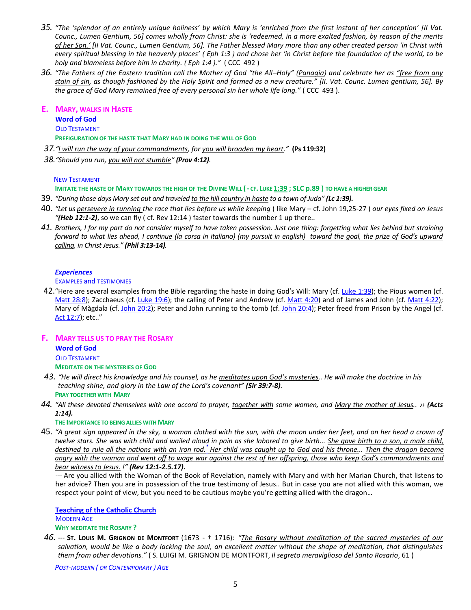- *35. "The 'splendor of an entirely unique holiness' by which Mary is 'enriched from the first instant of her conception' [II Vat. Counc., Lumen Gentium, 56] comes wholly from Christ: she is 'redeemed, in a more exalted fashion, by reason of the merits of her Son.' [II Vat. Counc., Lumen Gentium, 56]. The Father blessed Mary more than any other created person 'in Christ with every spiritual blessing in the heavenly places' ( Eph 1:3 ) and chose her 'in Christ before the foundation of the world, to be holy and blameless before him in charity. ( Eph 1:4 )."* ( CCC 492 )
- *36. "The Fathers of the Eastern tradition call the Mother of God "the All–Holy" (Panagia) and celebrate her as "free from any stain of sin, as though fashioned by the Holy Spirit and formed as a new creature." [II. Vat. Counc. Lumen gentium, 56]. By the grace of God Mary remained free of every personal sin her whole life long."* ( CCC 493 ).

### **E. MARY, WALKS IN HASTE**

**Word of God** OLD TESTAMENT

**PREFIGURATION OF THE HASTE THAT MARY HAD IN DOING THE WILL OF GOD** 

*37."I will run the way of your commandments, for you will broaden my heart."* **(Ps 119:32)**

*38."Should you run, you will not stumble" (Prov 4:12).*

### NEW TESTAMENT

IMITATE THE HASTE OF MARY TOWARDS THE HIGH OF THE DIVINE WILL (-CF. LUKE [1:39](http://www.lachiesa.it/bibbia.php?ricerca=citazione&id_versioni=1&Citazione=Lc+1&VersettoOn=1) ; SLC p.89) TO HAVE A HIGHER GEAR

- 39. *"During those days Mary set out and traveled to the hill country in haste to a town of Juda" [\(Lc 1:39\)](http://www.lachiesa.it/bibbia.php?ricerca=citazione&id_versioni=1&Citazione=Lc+1&VersettoOn=1).*
- 40. *"Let us persevere in running the race that lies before us while keeping* ( like Mary cf. John 19,25-27 ) *our eyes fixed on Jesus "(Heb 12:1-2)*, so we can fly ( cf. Rev 12:14 ) faster towards the number 1 up there..
- *41. Brothers, I for my part do not consider myself to have taken possession. Just one thing: forgetting what lies behind but straining forward to what lies ahead, I continue (la corsa in italiano) (my pursuit in english) toward the goal, the prize of God's upward calling, in Christ Jesus." (Phil 3:13-14).*

# *[Experiences](#page-0-0)*

EXAMPLES and TESTIMONIES

42. "Here are several examples from the Bible regarding the haste in doing God's Will: Mary (cf. Luke [1:39\)](http://www.lachiesa.it/bibbia.php?ricerca=citazione&id_versioni=1&Citazione=Lc+1&VersettoOn=1); the Pious women (cf. [Matt 28:8\)](http://www.lachiesa.it/bibbia.php?ricerca=citazione&id_versioni=1&Citazione=Mt+28&VersettoOn=1); Zacchaeus (cf. Luke [19:6\)](http://www.lachiesa.it/bibbia.php?ricerca=citazione&id_versioni=1&Citazione=Lc+19&VersettoOn=1); the calling of Peter and Andrew (cf. [Matt 4:20\)](http://www.lachiesa.it/bibbia.php?ricerca=citazione&id_versioni=1&Citazione=Mt+4&VersettoOn=1) and of James and John (cf. [Matt 4:22\)](http://www.lachiesa.it/bibbia.php?ricerca=citazione&id_versioni=1&Citazione=Mt+4&VersettoOn=1); Mary of Màgdala (cf. John [20:2\)](http://www.lachiesa.it/bibbia.php?ricerca=citazione&id_versioni=1&Citazione=Gv+20&VersettoOn=1); Peter and John running to the tomb (cf. John [20:4\)](http://www.lachiesa.it/bibbia.php?ricerca=citazione&id_versioni=1&Citazione=Gv+20&VersettoOn=1); Peter freed from Prison by the Angel (cf. [Act 12:7\)](http://www.lachiesa.it/bibbia.php?ricerca=citazione&id_versioni=1&Citazione=At+12&VersettoOn=1); etc.."

**F. MARY TELLS US TO PRAY THE ROSARY**

#### **Word of God** OLD TESTAMENT

**MEDITATE ON THE MYSTERIES OF GOD**

- *43. "He will direct his knowledge and his counsel, as he meditates upon God's mysteries.. He will make the doctrine in his teaching shine, and glory in the Law of the Lord's covenant" (Sir 39:7-8).* **PRAY TOGETHER WITH MARY**
- *44. "All these devoted themselves with one accord to prayer, together with some women, and Mary the mother of Jesus.. ›› [\(Acts](http://www.lachiesa.it/bibbia.php?ricerca=citazione&id_versioni=1&Citazione=At+1&VersettoOn=1)  [1:14\)](http://www.lachiesa.it/bibbia.php?ricerca=citazione&id_versioni=1&Citazione=At+1&VersettoOn=1).*

#### **THE IMPORTANCE TO BEING ALLIES WITH MARY**

45. *"A great sign appeared in the sky, a woman clothed with the sun, with the moon under her feet, and on her head a crown of twelve stars. She was with child and wailed aloud in pain as she labored to give birth... She gave birth to a son, a male child, destined to rule all the nations with an iron rod.[\\*](http://www.usccb.org/bible/revelation/12#74012005-1) Her child was caught up to God and his throne... Then the dragon became angry with the woman and went off to wage war against the rest of her offspring, those who keep God's commandments and bear witness to Jesus. !" [\(Rev 12:1-](http://www.lachiesa.it/bibbia.php?ricerca=citazione&id_versioni=1&Citazione=Ap+12&VersettoOn=1)2.5.17).*

*---* Are you allied with the Woman of the Book of Revelation, namely with Mary and with her Marian Church, that listens to her advice? Then you are in possession of the true testimony of Jesus.. But in case you are not allied with this woman, we respect your point of view, but you need to be cautious maybe you're getting allied with the dragon…

**[Teaching of the Catholic](#page-0-0) Church**  MODERN AGE **WHY MEDITATE THE ROSARY ?**

*46.* --- **ST. LOUIS M. GRIGNON DE MONTFORT** (1673 - † 1716): *"The Rosary without meditation of the sacred mysteries of our salvation, would be like a body lacking the soul, an excellent matter without the shape of meditation, that distinguishes them from other devotions."* ( S. LUIGI M. GRIGNON DE MONTFORT, *Il segreto meraviglioso del Santo Rosario*, 61 )

*POST-MODERN ( OR CONTEMPORARY ) AGE*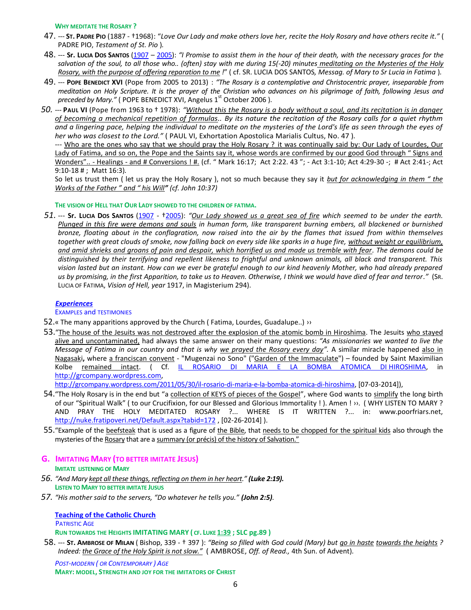#### **WHY MEDITATE THE ROSARY ?**

- 47. --- **ST. PADRE PIO** (1887 †1968): "*Love Our Lady and make others love her, recite the Holy Rosary and have others recite it."* ( PADRE PIO, *Testament of St. Pio* )*.*
- 48. --- **Sr. LUCIA DOS SANTOS** [\(1907](http://it.wikipedia.org/wiki/1907) [2005\)](http://it.wikipedia.org/wiki/2005): *"I Promise to assist them in the hour of their death, with the necessary graces for the salvation of the soul, to all those who.. (often) stay with me during 15(-20) minutes meditating on the Mysteries of the Holy Rosary, with the purpose of offering reparation to me !*" ( cf. SR. LUCIA DOS SANTOS*, Messag. of Mary to Sr Lucia in Fatima* )*.*
- 49. --- **POPE BENEDICT XVI** (Pope from 2005 to 2013) : *"The Rosary is a contemplative and Christocentric prayer, inseparable from meditation on Holy Scripture. It is the prayer of the Christian who advances on his pilgrimage of faith, following Jesus and preceded by Mary.*" (POPE BENEDICT XVI, Angelus 1<sup>st</sup> October 2006).
- *50.* --- **PAUL VI** (Pope from 1963 to † 1978): *"Without this the Rosary is a body without a soul, and its recitation is in danger of becoming a mechanical repetition of formulas.. By its nature the recitation of the Rosary calls for a quiet rhythm and a lingering pace, helping the individual to meditate on the mysteries of the Lord's life as seen through the eyes of her who was closest to the Lord."* ( PAUL VI, Exhortation Apostolica Marialis Cultus, No. 47 )*.*

--- Who are the ones who say that we should pray the Holy Rosary ? it was continually said by: Our Lady of Lourdes, Our Lady of Fatima, and so on, the Pope and the Saints say it, whose words are confirmed by our good God through " Signs and Wonders".. - Healings - and # Conversions ! #. (cf. " Mark 16:17; Act 2:22. 43"; - Act 3:1-10; Act 4:29-30 -; # Act 2:41-; Act 9:10-18 # ; Matt 16:3)*.*

So let us trust them ( let us pray the Holy Rosary ), not so much because they say it *but for acknowledging in them " the Works of the Father " and " his Will" (cf. John 10:37)*

### **THE VISION OF HELL THAT OUR LADY SHOWED TO THE CHILDREN OF FATIMA.**

*51.* --- **Sr. LUCIA DOS SANTOS** [\(1907](http://it.wikipedia.org/wiki/1907) - †[2005\)](http://it.wikipedia.org/wiki/2005): *"Our Lady showed us a great sea of fire which seemed to be under the earth. Plunged in this fire were demons and souls in human form, Iike transparent burning embers, all blackened or burnished bronze, floating about in the conflagration, now raised into the air by the flames that issued from within themselves together with great clouds of smoke, now falling back on every side like sparks in a huge fire, without weight or equilibrium, and amid shrieks and groans of pain and despair, which horrified us and made us tremble with fear. The demons could be distinguished by their terrifying and repellent likeness to frightful and unknown animals, all black and transparent. This vision lasted but an instant. How can we ever be grateful enough to our kind heavenly Mother, who had already prepared us by promising, in the first Apparition, to take us to Heaven. Otherwise, I think we would have died of fear and terror."* (SR. LUCIA OF FATIMA, *Vision of Hell, year* 1917, in Magisterium 294).

#### *[Experiences](#page-0-0)*

EXAMPLES and TESTIMONIES

- 52.« The many apparitions approved by the Church (Fatima, Lourdes, Guadalupe..) >>
- 53."The house of the Jesuits was not destroyed after the explosion of the atomic bomb in Hiroshima. The Jesuits who stayed alive and uncontaminated, had always the same answer on their many questions: *"As missionaries we wanted to live the Message of Fatima in our country and that is why we prayed the Rosary every day".* A similar miracle happened also in Nagasaki**,** where a franciscan convent - "Mugenzai no Sono" ("Garden of the Immaculate") – founded by Saint Maximilian Kolbe remained intact. ( Cf. [IL ROSARIO DI MARIA E LA BOMBA ATOMICA DI](http://grcompany.wordpress.com/2011/05/30/il-rosario-di-maria-e-la-bomba-atomica-di-hiroshima/) HIROSHIMA, in [http://grcompany.wordpress.com,](http://grcompany.wordpress.com/)

[http://grcompany.wordpress.com/2011/05/30/il-rosario-di-maria-e-la-bomba-atomica-di-hiroshima,](http://grcompany.wordpress.com/2011/05/30/il-rosario-di-maria-e-la-bomba-atomica-di-hiroshima) [07-03-2014]),

- 54. "The Holy Rosary is in the end but "a collection of KEYS of pieces of the Gospel", where God wants to simplify the long birth of our "Spiritual Walk" ( to our Crucifixion, for our Blessed and Glorious Immortality ! ). Amen ! ››. ( WHY LISTEN TO MARY ? AND PRAY THE HOLY MEDITATED ROSARY ?... WHERE IS IT WRITTEN ?... in: www.poorfriars.net, <http://nuke.fratipoveri.net/Default.aspx?tabid=172> , [02-26-2014] ).
- 55."Example of the beefsteak that is used as a figure of the Bible, that needs to be chopped for the spiritual kids also through the mysteries of the Rosary that are a summary (or précis) of the history of Salvation."

# **G. IMITATING MARY (TO BETTER IMITATE JESUS)**

**IMITATE LISTENING OF MARY** 

- *56. "And Mary kept all these things, reflecting on them in her heart." [\(Luke 2:19\)](http://www.lachiesa.it/bibbia.php?ricerca=citazione&id_versioni=1&Citazione=Lc+2&VersettoOn=1).* **LISTEN TO MARY TO BETTER IMITATE JUSUS**
- *57. "His mother said to the servers, "Do whatever he tells you." (John 2:5).*

**[Teaching of the Catholic](#page-0-0) Church PATRISTIC AGE RUN TOWARDS THE HEIGHTS IMITATING MARY ( CF. LUKE [1:39](http://www.lachiesa.it/bibbia.php?ricerca=citazione&id_versioni=1&Citazione=Lc+1&VersettoOn=1) ; SLC pg.89 )** 

58. --- **ST. AMBROSE OF MILAN** ( Bishop, 339 - † 397 ): *"Being so filled with God could (Mary) but go in haste towards the heights ? Indeed: the Grace of the Holy Spirit is not slow."* ( AMBROSE, *Off. of Read.,* 4th Sun. of Advent)*.*

*POST-MODERN ( OR CONTEMPORARY ) AGE* **MARY: MODEL, STRENGTH AND JOY FOR THE IMITATORS OF CHRIST**